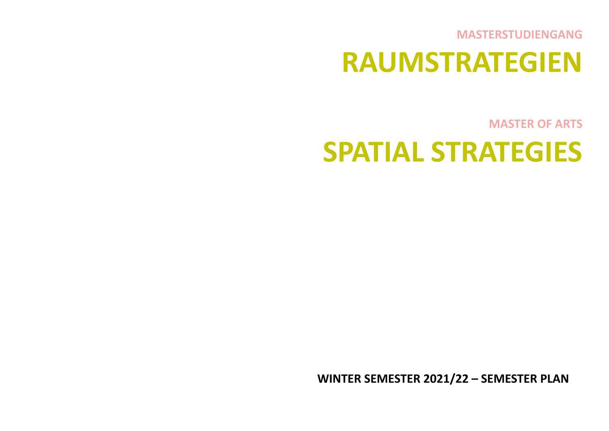**MASTERSTUDIENGANG**

# **RAUMSTRATEGIEN**

**MASTER OF ARTS**

# **SPATIAL STRATEGIES**

**WINTER SEMESTER 2021/22 – SEMESTER PLAN**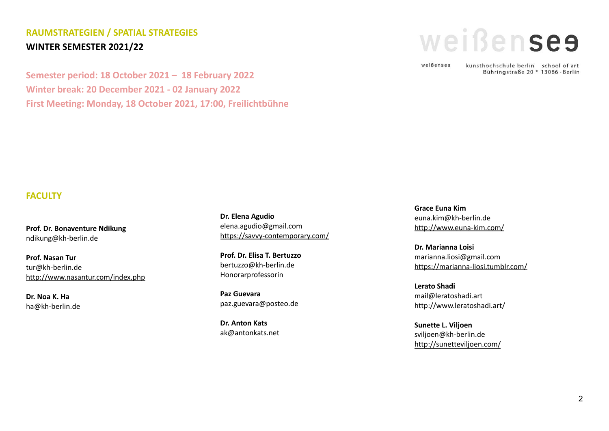# **RAUMSTRATEGIEN / SPATIAL STRATEGIES WINTER SEMESTER 2021/22**

**Semester period: 18 October 2021 – 18 February 2022 Winter break: 20 December 2021 - 02 January 2022 First Meeting: Monday, 18 October 2021, 17:00, Freilichtbühne**



weißenses

kunsthochschule berlin school of art Bühringstraße 20 \* 13086 - Berlin

#### **FACULTY**

**Prof. Dr. Bonaventure Ndikung** ndikung@kh-berlin.de

**Prof. Nasan Tur** tur@kh-berlin.de <http://www.nasantur.com/index.php>

**Dr. Noa K. Ha** ha@kh-berlin.de **Dr. Elena Agudio** elena.agudio@gmail.com <https://savvy-contemporary.com/>

**Prof. Dr. Elisa T. Bertuzzo** bertuzzo@kh-berlin.de Honorarprofessorin

**Paz Guevara** paz.guevara@posteo.de

**Dr. Anton Kats** ak@antonkats.net

**Grace Euna Kim** euna.kim@kh-berlin.de <http://www.euna-kim.com/>

**Dr. Marianna Loisi** marianna.liosi@gmail.com <https://marianna-liosi.tumblr.com/>

**Lerato Shadi** mail@leratoshadi.art <http://www.leratoshadi.art/>

**Sunette L. Viljoen** sviljoen@kh-berlin.de <http://sunetteviljoen.com/>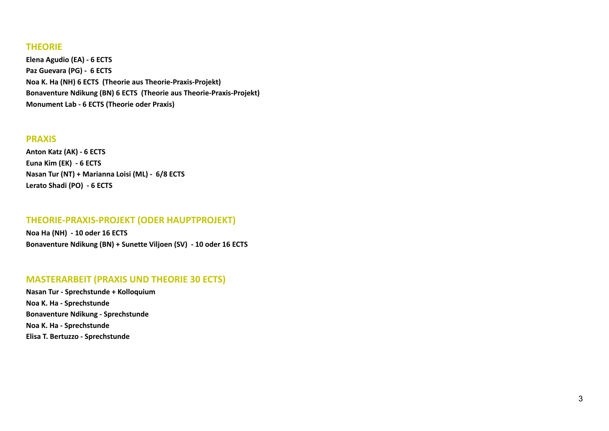## **THEORIE**

**Elena Agudio (EA) - 6 ECTS Paz Guevara (PG) - 6 ECTS Noa K. Ha (NH) 6 ECTS (Theorie aus Theorie-Praxis-Projekt) Bonaventure Ndikung (BN) 6 ECTS (Theorie aus Theorie-Praxis-Projekt) Monument Lab - 6 ECTS (Theorie oder Praxis)**

#### **PRAXIS**

**Anton Katz (AK) - 6 ECTS Euna Kim (EK) - 6 ECTS Nasan Tur (NT) + Marianna Loisi (ML) - 6/8 ECTS Lerato Shadi (PO) - 6 ECTS**

## **THEORIE-PRAXIS-PROJEKT (ODER HAUPTPROJEKT)**

**Noa Ha (NH) - 10 oder 16 ECTS Bonaventure Ndikung (BN) + Sunette Viljoen (SV) - 10 oder 16 ECTS**

## **MASTERARBEIT (PRAXIS UND THEORIE 30 ECTS)**

**Nasan Tur - Sprechstunde + Kolloquium Noa K. Ha - Sprechstunde Bonaventure Ndikung - Sprechstunde Noa K. Ha - Sprechstunde Elisa T. Bertuzzo - Sprechstunde**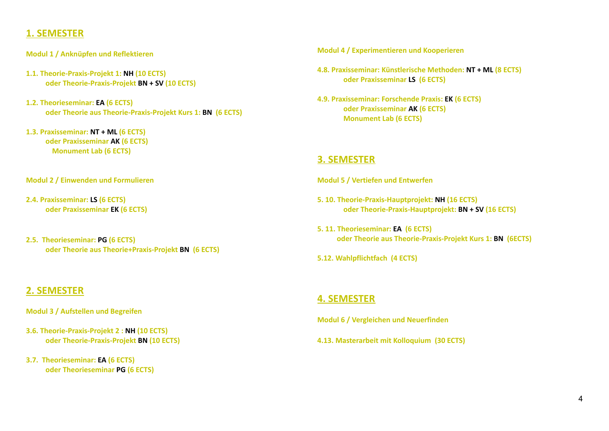# **1. SEMESTER**

- **Modul 1 / Anknüpfen und Reflektieren**
- **1.1. Theorie-Praxis-Projekt 1: NH (10 ECTS) oder Theorie-Praxis-Projekt BN + SV (10 ECTS)**
- **1.2. Theorieseminar: EA (6 ECTS) oder Theorie aus Theorie-Praxis-Projekt Kurs 1: BN (6 ECTS)**
- **1.3. Praxisseminar: NT + ML (6 ECTS) oder Praxisseminar AK (6 ECTS) Monument Lab (6 ECTS)**

**Modul 2 / Einwenden und Formulieren**

- **2.4. Praxisseminar: LS (6 ECTS) oder Praxisseminar EK (6 ECTS)**
- **2.5. Theorieseminar: PG (6 ECTS) oder Theorie aus Theorie+Praxis-Projekt BN (6 ECTS)**

# **2. SEMESTER**

**Modul 3 / Aufstellen und Begreifen**

- **3.6. Theorie-Praxis-Projekt 2 : NH (10 ECTS) oder Theorie-Praxis-Projekt BN (10 ECTS)**
- **3.7. Theorieseminar: EA (6 ECTS) oder Theorieseminar PG (6 ECTS)**

**Modul 4 / Experimentieren und Kooperieren**

**4.8. Praxisseminar: Künstlerische Methoden: NT + ML (8 ECTS) oder Praxisseminar LS (6 ECTS)**

**4.9. Praxisseminar: Forschende Praxis: EK (6 ECTS) oder Praxisseminar AK (6 ECTS) Monument Lab (6 ECTS)**

# **3. SEMESTER**

**Modul 5 / Vertiefen und Entwerfen**

- **5. 10. Theorie-Praxis-Hauptprojekt: NH (16 ECTS) oder Theorie-Praxis-Hauptprojekt: BN + SV (16 ECTS)**
- **5. 11. Theorieseminar: EA (6 ECTS) oder Theorie aus Theorie-Praxis-Projekt Kurs 1: BN (6ECTS)**

**5.12. Wahlpflichtfach (4 ECTS)**

# **4. SEMESTER**

**Modul 6 / Vergleichen und Neuerfinden**

**4.13. Masterarbeit mit Kolloquium (30 ECTS)**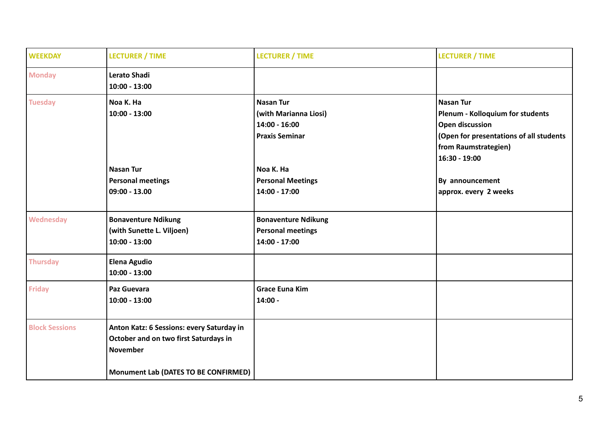| <b>WEEKDAY</b>        | <b>LECTURER / TIME</b>                                                                                                                        | <b>LECTURER / TIME</b>                                                                | <b>LECTURER / TIME</b>                                                                                                                                             |
|-----------------------|-----------------------------------------------------------------------------------------------------------------------------------------------|---------------------------------------------------------------------------------------|--------------------------------------------------------------------------------------------------------------------------------------------------------------------|
| <b>Monday</b>         | <b>Lerato Shadi</b><br>$10:00 - 13:00$                                                                                                        |                                                                                       |                                                                                                                                                                    |
| <b>Tuesday</b>        | Noa K. Ha<br>$10:00 - 13:00$                                                                                                                  | <b>Nasan Tur</b><br>(with Marianna Liosi)<br>$14:00 - 16:00$<br><b>Praxis Seminar</b> | <b>Nasan Tur</b><br>Plenum - Kolloquium for students<br><b>Open discussion</b><br>(Open for presentations of all students<br>from Raumstrategien)<br>16:30 - 19:00 |
|                       | <b>Nasan Tur</b><br><b>Personal meetings</b><br>$09:00 - 13.00$                                                                               | Noa K. Ha<br><b>Personal Meetings</b><br>14:00 - 17:00                                | By announcement<br>approx. every 2 weeks                                                                                                                           |
| Wednesday             | <b>Bonaventure Ndikung</b><br>(with Sunette L. Viljoen)<br>$10:00 - 13:00$                                                                    | <b>Bonaventure Ndikung</b><br><b>Personal meetings</b><br>14:00 - 17:00               |                                                                                                                                                                    |
| <b>Thursday</b>       | <b>Elena Agudio</b><br>$10:00 - 13:00$                                                                                                        |                                                                                       |                                                                                                                                                                    |
| <b>Friday</b>         | Paz Guevara<br>$10:00 - 13:00$                                                                                                                | <b>Grace Euna Kim</b><br>$14:00 -$                                                    |                                                                                                                                                                    |
| <b>Block Sessions</b> | Anton Katz: 6 Sessions: every Saturday in<br>October and on two first Saturdays in<br><b>November</b><br>Monument Lab (DATES TO BE CONFIRMED) |                                                                                       |                                                                                                                                                                    |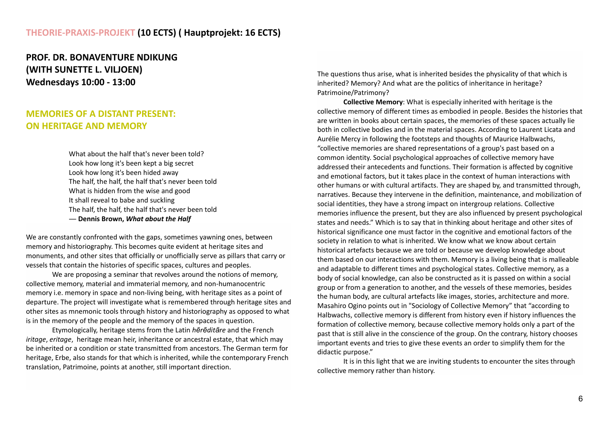## **THEORIE-PRAXIS-PROJEKT (10 ECTS) ( Hauptprojekt: 16 ECTS)**

**PROF. DR. BONAVENTURE NDIKUNG (WITH SUNETTE L. VILJOEN) Wednesdays 10:00 - 13:00**

# **MEMORIES OF A DISTANT PRESENT: ON HERITAGE AND MEMORY**

What about the half that's never been told? Look how long it's been kept a big secret Look how long it's been hided away The half, the half, the half that's never been told What is hidden from the wise and good It shall reveal to babe and suckling The half, the half, the half that's never been told ― **Dennis Brown,** *What about the Half*

We are constantly confronted with the gaps, sometimes yawning ones, between memory and historiography. This becomes quite evident at heritage sites and monuments, and other sites that officially or unofficially serve as pillars that carry or vessels that contain the histories of specific spaces, cultures and peoples.

We are proposing a seminar that revolves around the notions of memory, collective memory, material and immaterial memory, and non-humanocentric memory i.e. memory in space and non-living being, with heritage sites as a point of departure. The project will investigate what is remembered through heritage sites and other sites as mnemonic tools through history and historiography as opposed to what is in the memory of the people and the memory of the spaces in question.

Etymologically, heritage stems from the Latin *hērēditāre* and the French *iritage*, *eritage*, heritage mean heir, inheritance or ancestral estate, that which may be inherited or a condition or state transmitted from ancestors. The German term for heritage, Erbe, also stands for that which is inherited, while the contemporary French translation, Patrimoine, points at another, still important direction.

The questions thus arise, what is inherited besides the physicality of that which is inherited? Memory? And what are the politics of inheritance in heritage? Patrimoine/Patrimony?

**Collective Memory**: What is especially inherited with heritage is the collective memory of different times as embodied in people. Besides the histories that are written in books about certain spaces, the memories of these spaces actually lie both in collective bodies and in the material spaces. According to Laurent Licata and Aurélie Mercy in following the footsteps and thoughts of Maurice Halbwachs, "collective memories are shared representations of a group's past based on a common identity. Social psychological approaches of collective memory have addressed their antecedents and functions. Their formation is affected by cognitive and emotional factors, but it takes place in the context of human interactions with other humans or with cultural artifacts. They are shaped by, and transmitted through, narratives. Because they intervene in the definition, maintenance, and mobilization of social identities, they have a strong impact on intergroup relations. Collective memories influence the present, but they are also influenced by present psychological states and needs." Which is to say that in thinking about heritage and other sites of historical significance one must factor in the cognitive and emotional factors of the society in relation to what is inherited. We know what we know about certain historical artefacts because we are told or because we develop knowledge about them based on our interactions with them. Memory is a living being that is malleable and adaptable to different times and psychological states. Collective memory, as a body of social knowledge, can also be constructed as it is passed on within a social group or from a generation to another, and the vessels of these memories, besides the human body, are cultural artefacts like images, stories, architecture and more. Masahiro Ogino points out in "Sociology of Collective Memory" that "according to Halbwachs, collective memory is different from history even if history influences the formation of collective memory, because collective memory holds only a part of the past that is still alive in the conscience of the group. On the contrary, history chooses important events and tries to give these events an order to simplify them for the didactic purpose."

It is in this light that we are inviting students to encounter the sites through collective memory rather than history.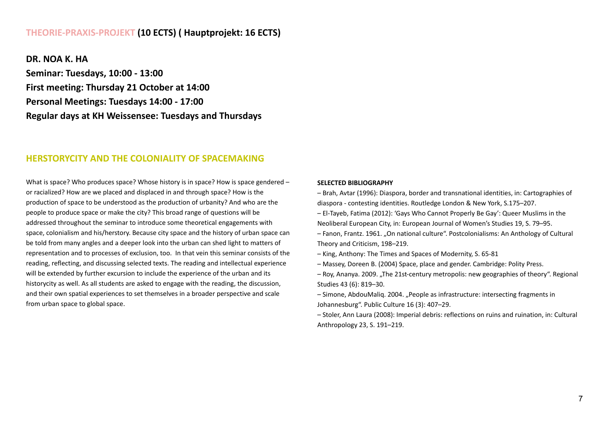## **THEORIE-PRAXIS-PROJEKT (10 ECTS) ( Hauptprojekt: 16 ECTS)**

**DR. NOA K. HA Seminar: Tuesdays, 10:00 - 13:00 First meeting: Thursday 21 October at 14:00 Personal Meetings: Tuesdays 14:00 - 17:00 Regular days at KH Weissensee: Tuesdays and Thursdays**

## **HERSTORYCITY AND THE COLONIALITY OF SPACEMAKING**

What is space? Who produces space? Whose history is in space? How is space gendered – or racialized? How are we placed and displaced in and through space? How is the production of space to be understood as the production of urbanity? And who are the people to produce space or make the city? This broad range of questions will be addressed throughout the seminar to introduce some theoretical engagements with space, colonialism and his/herstory. Because city space and the history of urban space can be told from many angles and a deeper look into the urban can shed light to matters of representation and to processes of exclusion, too. In that vein this seminar consists of the reading, reflecting, and discussing selected texts. The reading and intellectual experience will be extended by further excursion to include the experience of the urban and its historycity as well. As all students are asked to engage with the reading, the discussion, and their own spatial experiences to set themselves in a broader perspective and scale from urban space to global space.

#### **SELECTED BIBLIOGRAPHY**

– Brah, Avtar (1996): Diaspora, border and transnational identities, in: Cartographies of diaspora - contesting identities. Routledge London & New York, S.175–207.

- El-Tayeb, Fatima (2012): 'Gays Who Cannot Properly Be Gay': Queer Muslims in the Neoliberal European City, in: European Journal of Women's Studies 19, S. 79–95.
- Fanon, Frantz. 1961. "On national culture". Postcolonialisms: An Anthology of Cultural Theory and Criticism, 198–219.
- King, Anthony: The Times and Spaces of Modernity, S. 65-81
- Massey, Doreen B. (2004) Space, place and gender. Cambridge: Polity Press.
- Roy, Ananya. 2009. "The 21st-century metropolis: new geographies of theory". Regional Studies 43 (6): 819–30.
- Simone, AbdouMaliq. 2004. "People as infrastructure: intersecting fragments in Johannesburg". Public Culture 16 (3): 407–29.
- Stoler, Ann Laura (2008): Imperial debris: reflections on ruins and ruination, in: Cultural Anthropology 23, S. 191–219.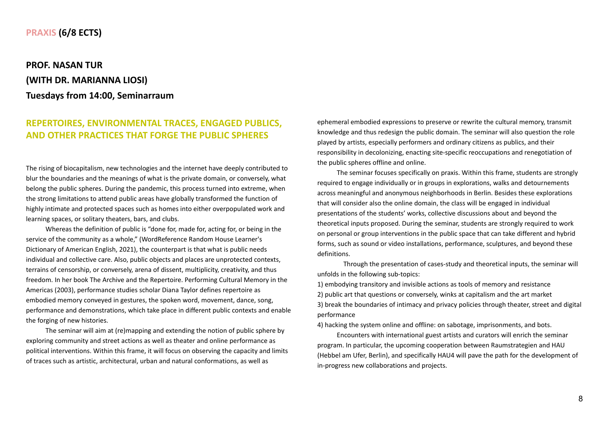## **PRAXIS (6/8 ECTS)**

# **PROF. NASAN TUR (WITH DR. MARIANNA LIOSI) Tuesdays from 14:00, Seminarraum**

# **REPERTOIRES, ENVIRONMENTAL TRACES, ENGAGED PUBLICS, AND OTHER PRACTICES THAT FORGE THE PUBLIC SPHERES**

The rising of biocapitalism, new technologies and the internet have deeply contributed to blur the boundaries and the meanings of what is the private domain, or conversely, what belong the public spheres. During the pandemic, this process turned into extreme, when the strong limitations to attend public areas have globally transformed the function of highly intimate and protected spaces such as homes into either overpopulated work and learning spaces, or solitary theaters, bars, and clubs.

Whereas the definition of public is "done for, made for, acting for, or being in the service of the community as a whole," (WordReference Random House Learner's Dictionary of American English, 2021), the counterpart is that what is public needs individual and collective care. Also, public objects and places are unprotected contexts, terrains of censorship, or conversely, arena of dissent, multiplicity, creativity, and thus freedom. In her book The Archive and the Repertoire. Performing Cultural Memory in the Americas (2003), performance studies scholar Diana Taylor defines repertoire as embodied memory conveyed in gestures, the spoken word, movement, dance, song, performance and demonstrations, which take place in different public contexts and enable the forging of new histories.

The seminar will aim at (re)mapping and extending the notion of public sphere by exploring community and street actions as well as theater and online performance as political interventions. Within this frame, it will focus on observing the capacity and limits of traces such as artistic, architectural, urban and natural conformations, as well as

ephemeral embodied expressions to preserve or rewrite the cultural memory, transmit knowledge and thus redesign the public domain. The seminar will also question the role played by artists, especially performers and ordinary citizens as publics, and their responsibility in decolonizing, enacting site-specific reoccupations and renegotiation of the public spheres offline and online.

The seminar focuses specifically on praxis. Within this frame, students are strongly required to engage individually or in groups in explorations, walks and detournements across meaningful and anonymous neighborhoods in Berlin. Besides these explorations that will consider also the online domain, the class will be engaged in individual presentations of the students' works, collective discussions about and beyond the theoretical inputs proposed. During the seminar, students are strongly required to work on personal or group interventions in the public space that can take different and hybrid forms, such as sound or video installations, performance, sculptures, and beyond these definitions.

Through the presentation of cases-study and theoretical inputs, the seminar will unfolds in the following sub-topics:

1) embodying transitory and invisible actions as tools of memory and resistance 2) public art that questions or conversely, winks at capitalism and the art market 3) break the boundaries of intimacy and privacy policies through theater, street and digital performance

4) hacking the system online and offline: on sabotage, imprisonments, and bots.

Encounters with international guest artists and curators will enrich the seminar program. In particular, the upcoming cooperation between Raumstrategien and HAU (Hebbel am Ufer, Berlin), and specifically HAU4 will pave the path for the development of in-progress new collaborations and projects.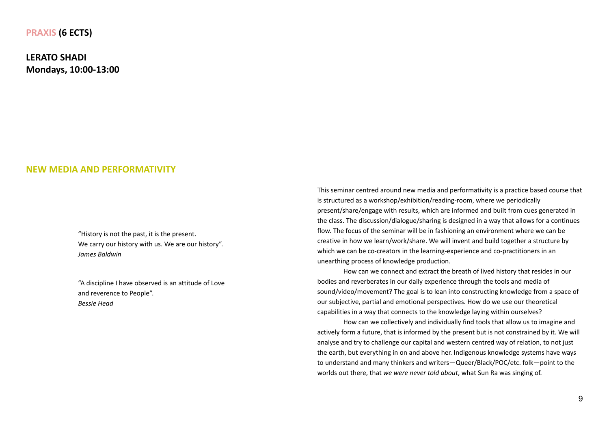#### **PRAXIS (6 ECTS)**

**LERATO SHADI Mondays, 10:00-13:00**

#### **NEW MEDIA AND PERFORMATIVITY**

"History is not the past, it is the present. We carry our history with us. We are our history". *James Baldwin*

"A discipline I have observed is an attitude of Love and reverence to People". *Bessie Head*

This seminar centred around new media and performativity is a practice based course that is structured as a workshop/exhibition/reading-room, where we periodically present/share/engage with results, which are informed and built from cues generated in the class. The discussion/dialogue/sharing is designed in a way that allows for a continues flow. The focus of the seminar will be in fashioning an environment where we can be creative in how we learn/work/share. We will invent and build together a structure by which we can be co-creators in the learning-experience and co-practitioners in an unearthing process of knowledge production.

How can we connect and extract the breath of lived history that resides in our bodies and reverberates in our daily experience through the tools and media of sound/video/movement? The goal is to lean into constructing knowledge from a space of our subjective, partial and emotional perspectives. How do we use our theoretical capabilities in a way that connects to the knowledge laying within ourselves?

How can we collectively and individually find tools that allow us to imagine and actively form a future, that is informed by the present but is not constrained by it. We will analyse and try to challenge our capital and western centred way of relation, to not just the earth, but everything in on and above her. Indigenous knowledge systems have ways to understand and many thinkers and writers—Queer/Black/POC/etc. folk—point to the worlds out there, that *we were never told about*, what Sun Ra was singing of.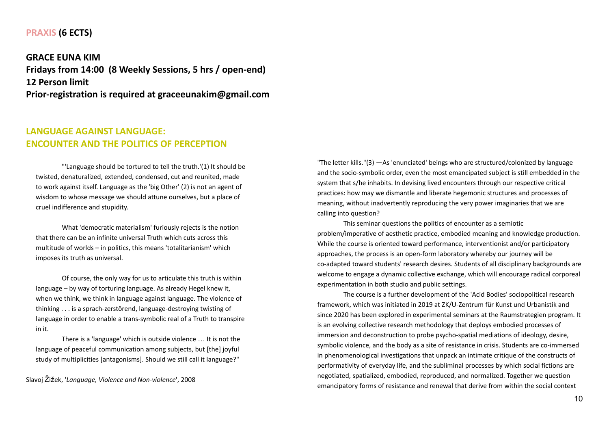#### **PRAXIS (6 ECTS)**

**GRACE EUNA KIM Fridays from 14:00 (8 Weekly Sessions, 5 hrs / open-end) 12 Person limit Prior-registration is required at graceeunakim@gmail.com**

## **LANGUAGE AGAINST LANGUAGE: ENCOUNTER AND THE POLITICS OF PERCEPTION**

"'Language should be tortured to tell the truth.'(1) It should be twisted, denaturalized, extended, condensed, cut and reunited, made to work against itself. Language as the 'big Other' (2) is not an agent of wisdom to whose message we should attune ourselves, but a place of cruel indifference and stupidity.

What 'democratic materialism' furiously rejects is the notion that there can be an infinite universal Truth which cuts across this multitude of worlds – in politics, this means 'totalitarianism' which imposes its truth as universal.

Of course, the only way for us to articulate this truth is within language – by way of torturing language. As already Hegel knew it, when we think, we think in language against language. The violence of thinking . . . is a sprach-zerstörend, language-destroying twisting of language in order to enable a trans-symbolic real of a Truth to transpire in it.

There is a 'language' which is outside violence … It is not the language of peaceful communication among subjects, but [the] joyful study of multiplicities [antagonisms]. Should we still call it language?"

Slavoj Žižek, '*Language, Violence and Non-violence*', 2008

"The letter kills."(3) —As 'enunciated' beings who are structured/colonized by language and the socio-symbolic order, even the most emancipated subject is still embedded in the system that s/he inhabits. In devising lived encounters through our respective critical practices: how may we dismantle and liberate hegemonic structures and processes of meaning, without inadvertently reproducing the very power imaginaries that we are calling into question?

This seminar questions the politics of encounter as a semiotic problem/imperative of aesthetic practice, embodied meaning and knowledge production. While the course is oriented toward performance, interventionist and/or participatory approaches, the process is an open-form laboratory whereby our journey will be co-adapted toward students' research desires. Students of all disciplinary backgrounds are welcome to engage a dynamic collective exchange, which will encourage radical corporeal experimentation in both studio and public settings.

The course is a further development of the 'Acid Bodies' sociopolitical research framework, which was initiated in 2019 at ZK/U-Zentrum für Kunst und Urbanistik and since 2020 has been explored in experimental seminars at the Raumstrategien program. It is an evolving collective research methodology that deploys embodied processes of immersion and deconstruction to probe psycho-spatial mediations of ideology, desire, symbolic violence, and the body as a site of resistance in crisis. Students are co-immersed in phenomenological investigations that unpack an intimate critique of the constructs of performativity of everyday life, and the subliminal processes by which social fictions are negotiated, spatialized, embodied, reproduced, and normalized. Together we question emancipatory forms of resistance and renewal that derive from within the social context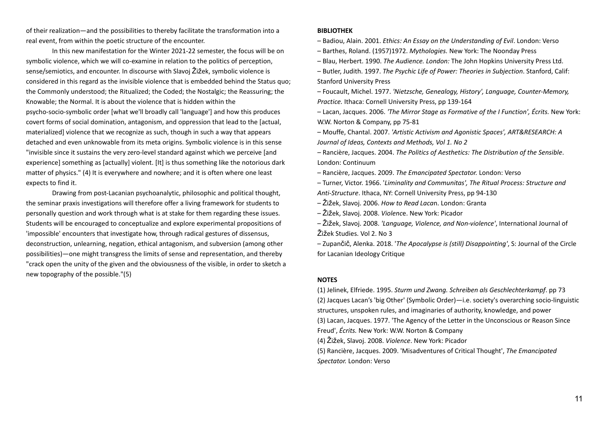of their realization—and the possibilities to thereby facilitate the transformation into a real event, from within the poetic structure of the encounter.

In this new manifestation for the Winter 2021-22 semester, the focus will be on symbolic violence, which we will co-examine in relation to the politics of perception, sense/semiotics, and encounter. In discourse with Slavoj Žižek, symbolic violence is considered in this regard as the invisible violence that is embedded behind the Status quo; the Commonly understood; the Ritualized; the Coded; the Nostalgic; the Reassuring; the Knowable; the Normal. It is about the violence that is hidden within the psycho-socio-symbolic order [what we'll broadly call 'language'] and how this produces covert forms of social domination, antagonism, and oppression that lead to the [actual, materialized] violence that we recognize as such, though in such a way that appears detached and even unknowable from its meta origins. Symbolic violence is in this sense "invisible since it sustains the very zero-level standard against which we perceive [and experience] something as [actually] violent. [It] is thus something like the notorious dark matter of physics." (4) It is everywhere and nowhere; and it is often where one least expects to find it.

Drawing from post-Lacanian psychoanalytic, philosophic and political thought, the seminar praxis investigations will therefore offer a living framework for students to personally question and work through what is at stake for them regarding these issues. Students will be encouraged to conceptualize and explore experimental propositions of 'impossible' encounters that investigate how, through radical gestures of dissensus, deconstruction, unlearning, negation, ethical antagonism, and subversion (among other possibilities)—one might transgress the limits of sense and representation, and thereby "crack open the unity of the given and the obviousness of the visible, in order to sketch a new topography of the possible."(5)

#### **BIBLIOTHEK**

– Badiou, Alain. 2001. *Ethics: An Essay on the Understanding of Evil*. London: Verso

– Barthes, Roland. (1957)1972. *Mythologies.* New York: The Noonday Press

– Blau, Herbert. 1990. *The Audience. London:* The John Hopkins University Press Ltd.

– Butler, Judith. 1997. *The Psychic Life of Power: Theories in Subjection*. Stanford, Calif: Stanford University Press

– Foucault, Michel. 1977. *'Nietzsche, Genealogy, History', Language, Counter-Memory, Practice.* Ithaca: Cornell University Press, pp 139-164

– Lacan, Jacques. 2006. *'The Mirror Stage as Formative of the I Function', Écrits.* New York: W.W. Norton & Company, pp 75-81

– Mouffe, Chantal. 2007. *'Artistic Activism and Agonistic Spaces', ART&RESEARCH: A Journal of Ideas, Contexts and Methods, Vol 1. No 2*

*–* Rancière, Jacques. 2004. *The Politics of Aesthetics: The Distribution of the Sensible*. London: Continuum

– Rancière, Jacques. 2009. *The Emancipated Spectator.* London: Verso

– Turner, Victor. 1966. '*Liminality and Communitas', The Ritual Process: Structure and Anti-Structure*. Ithaca, NY: Cornell University Press, pp 94-130

– Žižek, Slavoj. 2006. *How to Read Laca*n. London: Granta

– Žižek, Slavoj. 2008. *Violenc*e. New York: Picador

– Žižek, Slavoj. 2008. *'Language, Violence, and Non-violence'*, International Journal of Žižek Studies. Vol 2. No 3

– Zupančič, Alenka. 2018. '*The Apocalypse is (still) Disappointing'*, S: Journal of the Circle for Lacanian Ideology Critique

#### **NOTES**

(1) Jelinek, Elfriede. 1995. *Sturm und Zwang. Schreiben als Geschlechterkampf*. pp 73 (2) Jacques Lacan's 'big Other' (Symbolic Order)—i.e. society's overarching socio-linguistic structures, unspoken rules, and imaginaries of authority, knowledge, and power (3) Lacan, Jacques. 1977. 'The Agency of the Letter in the Unconscious or Reason Since Freud', *Écrits.* New York: W.W. Norton & Company (4) Žižek, Slavoj. 2008. *Violence*. New York: Picador (5) Rancière, Jacques. 2009. 'Misadventures of Critical Thought', *The Emancipated Spectator.* London: Verso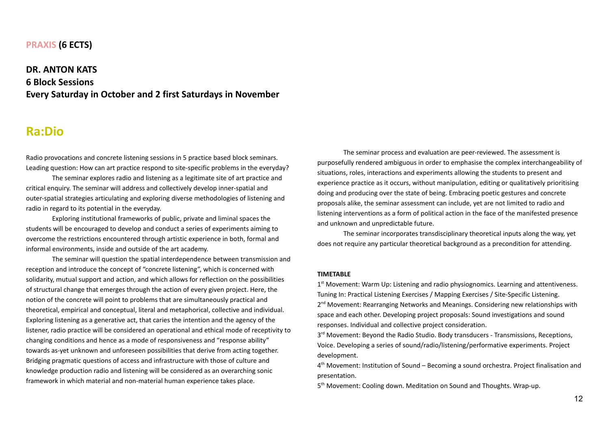#### **PRAXIS (6 ECTS)**

**DR. ANTON KATS 6 Block Sessions Every Saturday in October and 2 first Saturdays in November**

# **Ra:Dio**

Radio provocations and concrete listening sessions in 5 practice based block seminars. Leading question: How can art practice respond to site-specific problems in the everyday?

The seminar explores radio and listening as a legitimate site of art practice and critical enquiry. The seminar will address and collectively develop inner-spatial and outer-spatial strategies articulating and exploring diverse methodologies of listening and radio in regard to its potential in the everyday.

Exploring institutional frameworks of public, private and liminal spaces the students will be encouraged to develop and conduct a series of experiments aiming to overcome the restrictions encountered through artistic experience in both, formal and informal environments, inside and outside of the art academy.

The seminar will question the spatial interdependence between transmission and reception and introduce the concept of "concrete listening", which is concerned with solidarity, mutual support and action, and which allows for reflection on the possibilities of structural change that emerges through the action of every given project. Here, the notion of the concrete will point to problems that are simultaneously practical and theoretical, empirical and conceptual, literal and metaphorical, collective and individual. Exploring listening as a generative act, that caries the intention and the agency of the listener, radio practice will be considered an operational and ethical mode of receptivity to changing conditions and hence as a mode of responsiveness and "response ability" towards as-yet unknown and unforeseen possibilities that derive from acting together. Bridging pragmatic questions of access and infrastructure with those of culture and knowledge production radio and listening will be considered as an overarching sonic framework in which material and non-material human experience takes place.

The seminar process and evaluation are peer-reviewed. The assessment is purposefully rendered ambiguous in order to emphasise the complex interchangeability of situations, roles, interactions and experiments allowing the students to present and experience practice as it occurs, without manipulation, editing or qualitatively prioritising doing and producing over the state of being. Embracing poetic gestures and concrete proposals alike, the seminar assessment can include, yet are not limited to radio and listening interventions as a form of political action in the face of the manifested presence and unknown and unpredictable future.

The seminar incorporates transdisciplinary theoretical inputs along the way, yet does not require any particular theoretical background as a precondition for attending.

#### **TIMETABLE**

1<sup>st</sup> Movement: Warm Up: Listening and radio physiognomics. Learning and attentiveness. Tuning In: Practical Listening Exercises / Mapping Exercises / Site-Specific Listening. 2<sup>nd</sup> Movement: Rearranging Networks and Meanings. Considering new relationships with space and each other. Developing project proposals: Sound investigations and sound responses. Individual and collective project consideration.

3<sup>rd</sup> Movement: Beyond the Radio Studio. Body transducers - Transmissions, Receptions, Voice. Developing a series of sound/radio/listening/performative experiments. Project development.

4<sup>th</sup> Movement: Institution of Sound – Becoming a sound orchestra. Project finalisation and presentation.

5<sup>th</sup> Movement: Cooling down. Meditation on Sound and Thoughts. Wrap-up.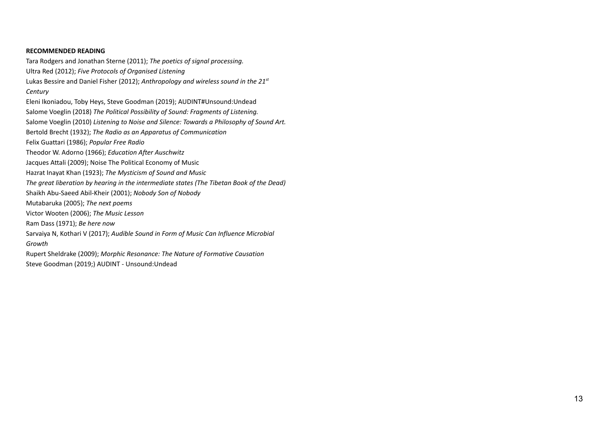#### **RECOMMENDED READING**

Tara Rodgers and Jonathan Sterne (2011); *The poetics of signal processing.* Ultra Red (2012); *Five Protocols of Organised Listening* Lukas Bessire and Daniel Fisher (2012); *Anthropology and wireless sound in the 21 st Century* Eleni [Ikoniadou](https://www.google.com/search?safe=off&sxsrf=ALeKk02xmzEB-1V44duv1lIyclONneC-ew:1603099512340&q=Eleni+Ikoniadou&stick=H4sIAAAAAAAAAOPgE-LVT9c3NEwvSjZIKcgxUIJwk0xzyi2zMsq1lDPKrfST83NyUpNLMvPz9MuLMktKUvPiy_OLsoutUlMyS_KLFrHyu-ak5mUqeGbn52UmpuSX7mBlBADbLxKfWgAAAA&sa=X&ved=2ahUKEwiouuOHq8DsAhVDM-wKHca3BQsQmxMoATAPegQIDhAD), Toby [Heys,](https://www.google.com/search?safe=off&sxsrf=ALeKk02xmzEB-1V44duv1lIyclONneC-ew:1603099512340&q=Toby+Heys&stick=H4sIAAAAAAAAAOPgE-LVT9c3NEwvSjZIKcgxUIJw03JyjA0L48u1lDPKrfST83NyUpNLMvPz9MuLMktKUvPiy_OLsoutUlMyS_KLFrFyhuQnVSp4pFYW72BlBADfCfbHVAAAAA&sa=X&ved=2ahUKEwiouuOHq8DsAhVDM-wKHca3BQsQmxMoAjAPegQIDhAE) Steve [Goodman](https://www.google.com/search?safe=off&sxsrf=ALeKk02xmzEB-1V44duv1lIyclONneC-ew:1603099512340&q=Steve+Goodman&stick=H4sIAAAAAAAAAOPgE-LVT9c3NEwvSjZIKcgxUIJwkyqLqjIss3O0lDPKrfST83NyUpNLMvPz9MuLMktKUvPiy_OLsoutUlMyS_KLFrHyBpeklqUquOfnp-Qm5u1gZQQABe4QXFgAAAA&sa=X&ved=2ahUKEwiouuOHq8DsAhVDM-wKHca3BQsQmxMoAzAPegQIDhAF) (2019); AUDINT#Unsound:Undead Salome Voeglin (2018) *The Political Possibility of Sound: Fragments of Listening.* Salome Voeglin (2010) *Listening to Noise and Silence: Towards a Philosophy of Sound Art.* Bertold Brecht (1932); *The Radio as an Apparatus of Communication* Felix Guattari (1986); *Popular Free Radio* Theodor W. Adorno (1966); *Education After Auschwitz* Jacques Attali (2009); Noise The Political Economy of Music Hazrat Inayat Khan (1923); *The Mysticism of Sound and Music The great liberation by hearing in the intermediate states (The Tibetan Book of the Dead)* Shaikh [Abu-Saeed](https://www.amazon.com/s/ref=dp_byline_sr_book_2?ie=UTF8&field-author=Shaikh+Abu-Saeed+Abil-Kheir&text=Shaikh+Abu-Saeed+Abil-Kheir&sort=relevancerank&search-alias=books) Abil-Kheir (2001); *Nobody Son of Nobody* Mutabaruka (2005); *The next poems* Victor Wooten (2006); *The Music Lesson* Ram Dass (1971); *Be here now* Sarvaiya N, Kothari V (2017); *Audible Sound in Form of Music Can Influence Microbial Growth* Rupert Sheldrake (2009); *Morphic Resonance: The Nature of Formative Causation* Steve Goodman (2019;) AUDINT - Unsound:Undead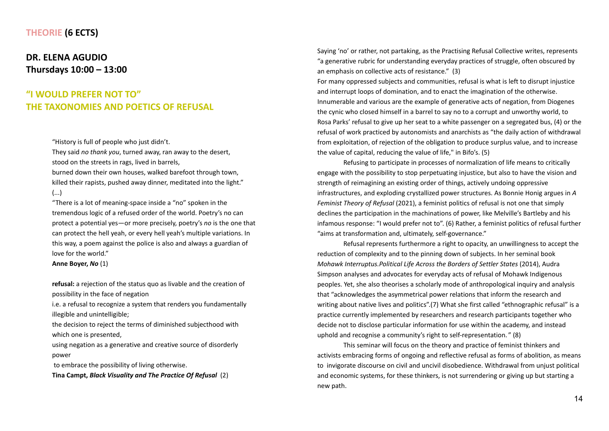## **THEORIE (6 ECTS)**

## **DR. ELENA AGUDIO Thursdays 10:00 – 13:00**

# **"I WOULD PREFER NOT TO" THE TAXONOMIES AND POETICS OF REFUSAL**

"History is full of people who just didn't.

They said *no thank you*, turned away, ran away to the desert, stood on the streets in rags, lived in barrels,

burned down their own houses, walked barefoot through town, killed their rapists, pushed away dinner, meditated into the light." (...)

"There is a lot of meaning-space inside a "no" spoken in the tremendous logic of a refused order of the world. Poetry's no can protect a potential yes—or more precisely, poetry's *no* is the one that can protect the hell yeah, or every hell yeah's multiple variations. In this way, a poem against the police is also and always a guardian of love for the world."

**Anne Boyer,** *No* (1)

**refusal:** a rejection of the status quo as livable and the creation of possibility in the face of negation

i.e. a refusal to recognize a system that renders you fundamentally illegible and unintelligible;

the decision to reject the terms of diminished subjecthood with which one is presented,

using negation as a generative and creative source of disorderly power

to embrace the possibility of living otherwise.

**Tina Campt,** *Black Visuality and The Practice Of Refusal* (2)

Saying 'no' or rather, not partaking, as the Practising Refusal Collective writes, represents "a generative rubric for understanding everyday practices of struggle, often obscured by an emphasis on collective acts of resistance." (3)

For many oppressed subjects and communities, refusal is what is left to disrupt injustice and interrupt loops of domination, and to enact the imagination of the otherwise. Innumerable and various are the example of generative acts of negation, from Diogenes the cynic who closed himself in a barrel to say no to a corrupt and unworthy world, to Rosa Parks' refusal to give up her seat to a white passenger on a segregated bus, (4) or the refusal of work practiced by autonomists and anarchists as "the daily action of withdrawal from exploitation, of rejection of the obligation to produce surplus value, and to increase the value of capital, reducing the value of life," in Bifo's. (5)

Refusing to participate in processes of normalization of life means to critically engage with the possibility to stop perpetuating injustice, but also to have the vision and strength of reimagining an existing order of things, actively undoing oppressive infrastructures, and exploding crystallized power structures. As Bonnie Honig argues in *A Feminist Theory of Refusal* (2021), a feminist politics of refusal is not one that simply declines the participation in the machinations of power, like Melville's Bartleby and his infamous response: "I would prefer not to". (6) Rather, a feminist politics of refusal further "aims at transformation and, ultimately, self-governance."

Refusal represents furthermore a right to opacity, an unwillingness to accept the reduction of complexity and to the pinning down of subjects. In her seminal book *Mohawk Interruptus.Political Life Across the Borders of Settler States* (2014), Audra Simpson analyses and advocates for everyday acts of refusal of Mohawk Indigenous peoples. Yet, she also theorises a scholarly mode of anthropological inquiry and analysis that "acknowledges the asymmetrical power relations that inform the research and writing about native lives and politics".(7) What she first called "ethnographic refusal" is a practice currently implemented by researchers and research participants together who decide not to disclose particular information for use within the academy, and instead uphold and recognise a community's right to self-representation. " (8)

This seminar will focus on the theory and practice of feminist thinkers and activists embracing forms of ongoing and reflective refusal as forms of abolition, as means to invigorate discourse on civil and uncivil disobedience. Withdrawal from unjust political and economic systems, for these thinkers, is not surrendering or giving up but starting a new path.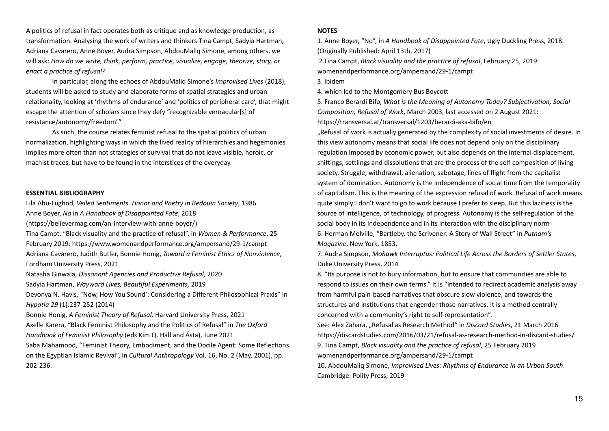A politics of refusal in fact operates both as critique and as knowledge production, as transformation. Analysing the work of writers and thinkers Tina Campt, Sadyia Hartman, Adriana Cavarero, Anne Boyer, Audra Simpson, AbdouMaliq Simone, among others, we will ask: *How do we write, think, perform, practice, visualize, engage, theorize, story, or enact a practice of refusal?*

In particular, along the echoes of AbdouMaliq Simone's *Improvised Lives* (2018), students will be asked to study and elaborate forms of spatial strategies and urban relationality, looking at 'rhythms of endurance' and 'politics of peripheral care', that might escape the attention of scholars since they defy "recognizable vernacular[s] of resistance/autonomy/freedom'."

As such, the course relates feminist refusal to the spatial politics of urban normalization, highlighting ways in which the lived reality of hierarchies and hegemonies implies more often than not strategies of survival that do not leave visible, heroic, or machist traces, but have to be found in the interstices of the everyday.

#### **ESSENTIAL BIBLIOGRAPHY**

Lila Abu-Lughod, *Veiled Sentiments. Honor and Poetry in Bedouin Society*, 1986 Anne Boyer, *No* in *A Handbook of Disappointed Fate*, 2018 [\(https://believermag.com/an-interview-with-anne-boyer/\)](https://believermag.com/an-interview-with-anne-boyer/)

Tina Campt, "Black visuality and the practice of refusal", in *Women & Performance*, 25

February 2019: <https://www.womenandperformance.org/ampersand/29-1/campt> Adriana Cavarero, Judith Butler, Bonnie Honig, *Toward a Feminist Ethics of Nonviolence*, Fordham University Press, 2021

Natasha Ginwala, *Dissonant Agencies and Productive Refusal,* 2020

Sadyia Hartman, *Wayward Lives, Beautiful Experiments,* 2019

Devonya N. Havis, "Now, How You Sound': Considering a Different Philosophical Praxis" in *Hypatia 29* (1):237-252 (2014)

Bonnie Honig, *A Feminist Theory of Refusal*. Harvard University Press, 2021 Axelle Karera, "Black Feminist Philosophy and the Politics of Refusal" in *The Oxford Handbook of Feminist Philosophy* (eds Kim Q. Hall and Ásta), June 2021 Saba Mahamood, "Feminist Theory, Embodiment, and the Docile Agent: Some Reflections on the Egyptian Islamic Revival", in *Cultural Anthropology* Vol. 16, No. 2 (May, 2001), pp. 202-236.

#### **NOTES**

1. Anne Boyer, "No", in *A Handbook of Disappointed Fate*, Ugly Duckling Press, 2018. (Originally Published: April 13th, 2017) 2.Tina Campt, *Black visuality and the practice of refusal*, February 25, 2019[:](http://womenandperformance.org/ampersand/29-1/campt)

[womenandperformance.org/ampersand/29-1/campt](http://womenandperformance.org/ampersand/29-1/campt)

3. ibidem

4. which led to the Montgomery Bus Boycott

5. Franco Berardi Bifo, *What is the Meaning of Autonomy Today? Subjectivation, Social Composition, Refusal of Work*, March 2003, last accessed on 2 August 2021: <https://transversal.at/transversal/1203/berardi-aka-bifo/en>

"Refusal of work is actually generated by the complexity of social investments of desire. In this view autonomy means that social life does not depend only on the disciplinary regulation imposed by economic power, but also depends on the internal displacement, shiftings, settlings and dissolutions that are the process of the self-composition of living society. Struggle, withdrawal, alienation, sabotage, lines of flight from the capitalist system of domination. Autonomy is the independence of social time from the temporality of capitalism. This is the meaning of the expression refusal of work. Refusal of work means quite simply:I don't want to go to work because I prefer to sleep. But this laziness is the source of intelligence, of technology, of progress. Autonomy is the self-regulation of the social body in its independence and in its interaction with the disciplinary norm 6. Herman Melville, "Bartleby, the Scrivener: A Story of Wall Street" in *Putnam's Magazine*, New York, 1853.

7. Audra Simpson, *Mohawk Interruptus: Political Life Across the Borders of Settler States*, Duke University Press, 2014

8. "Its purpose is not to bury information, but to ensure that communities are able to respond to issues on their own terms." It is "intended to redirect academic analysis away from harmful pain-based narratives that obscure slow violence, and towards the structures and institutions that engender those narratives. It is a method centrally concerned with a community's right to self-representation".

See: Alex Zahara, "Refusal as Research Method" in *Discard Studies*, 21 March 2016 <https://discardstudies.com/2016/03/21/refusal-as-research-method-in-discard-studies/> 9. Tina Campt, *Black visuality and the practice of refusal*, 25 February 2019 [womenandperformance.org/ampersand/29-1/campt](http://womenandperformance.org/ampersand/29-1/campt)

10. AbdouMaliq Simone, *Improvised Lives: Rhythms of Endurance in an Urban South*. Cambridge: Polity Press, 2019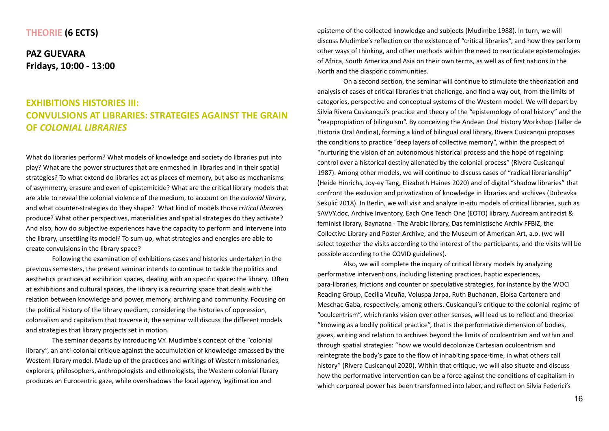#### **THEORIE (6 ECTS)**

**PAZ GUEVARA Fridays, 10:00 - 13:00**

# **EXHIBITIONS HISTORIES III: CONVULSIONS AT LIBRARIES: STRATEGIES AGAINST THE GRAIN OF** *COLONIAL LIBRARIES*

What do libraries perform? What models of knowledge and society do libraries put into play? What are the power structures that are enmeshed in libraries and in their spatial strategies? To what extend do libraries act as places of memory, but also as mechanisms of asymmetry, erasure and even of epistemicide? What are the critical library models that are able to reveal the colonial violence of the medium, to account on the *colonial library*, and what counter-strategies do they shape? What kind of models those *critical libraries* produce? What other perspectives, materialities and spatial strategies do they activate? And also, how do subjective experiences have the capacity to perform and intervene into the library, unsettling its model? To sum up, what strategies and energies are able to create convulsions in the library space?

Following the examination of exhibitions cases and histories undertaken in the previous semesters, the present seminar intends to continue to tackle the politics and aesthetics practices at exhibition spaces, dealing with an specific space: the library. Often at exhibitions and cultural spaces, the library is a recurring space that deals with the relation between knowledge and power, memory, archiving and community. Focusing on the political history of the library medium, considering the histories of oppression, colonialism and capitalism that traverse it, the seminar will discuss the different models and strategies that library projects set in motion.

The seminar departs by introducing V.Y. Mudimbe's concept of the "colonial library", an anti-colonial critique against the accumulation of knowledge amassed by the Western library model. Made up of the practices and writings of Western missionaries, explorers, philosophers, anthropologists and ethnologists, the Western colonial library produces an Eurocentric gaze, while overshadows the local agency, legitimation and

episteme of the collected knowledge and subjects (Mudimbe 1988). In turn, we will discuss Mudimbe's reflection on the existence of "critical libraries", and how they perform other ways of thinking, and other methods within the need to rearticulate epistemologies of Africa, South America and Asia on their own terms, as well as of first nations in the North and the diasporic communities.

On a second section, the seminar will continue to stimulate the theorization and analysis of cases of critical libraries that challenge, and find a way out, from the limits of categories, perspective and conceptual systems of the Western model. We will depart by Silvia Rivera Cusicanqui's practice and theory of the "epistemology of oral history" and the "reappropiation of bilinguism". By conceiving the Andean Oral History Workshop (Taller de Historia Oral Andina), forming a kind of bilingual oral library, Rivera Cusicanqui proposes the conditions to practice "deep layers of collective memory", within the prospect of "nurturing the vision of an autonomous historical process and the hope of regaining control over a historical destiny alienated by the colonial process" (Rivera Cusicanqui 1987). Among other models, we will continue to discuss cases of "radical librarianship" (Heide Hinrichs, Joy-ey Tang, Elizabeth Haines 2020) and of digital "shadow libraries" that confront the exclusion and privatization of knowledge in libraries and archives (Dubravka Sekulic<sup></sup> 2018). In Berlin, we will visit and analyze in-situ models of critical libraries, such as SAVVY.doc, Archive Inventory, Each One Teach One (EOTO) library, Audream antiracist & feminist library, Baynatna - The Arabic library, Das feministische Archiv FFBIZ, the Collective Library and Poster Archive, and the Museum of American Art, a.o. (we will select together the visits according to the interest of the participants, and the visits will be possible according to the COVID guidelines).

Also, we will complete the inquiry of critical library models by analyzing performative interventions, including listening practices, haptic experiences, para-libraries, frictions and counter or speculative strategies, for instance by the WOCI Reading Group, Cecilia Vicuña, Voluspa Jarpa, Ruth Buchanan, Eloísa Cartonera and Meschac Gaba, respectively, among others. Cusicanqui's critique to the colonial regime of "oculcentrism", which ranks vision over other senses, will lead us to reflect and theorize "knowing as a bodily political practice", that is the performative dimension of bodies, gazes, writing and relation to archives beyond the limits of oculcentrism and within and through spatial strategies: "how we would decolonize Cartesian oculcentrism and reintegrate the body's gaze to the flow of inhabiting space-time, in what others call history" (Rivera Cusicanqui 2020). Within that critique, we will also situate and discuss how the performative intervention can be a force against the conditions of capitalism in which corporeal power has been transformed into labor, and reflect on Silvia Federici's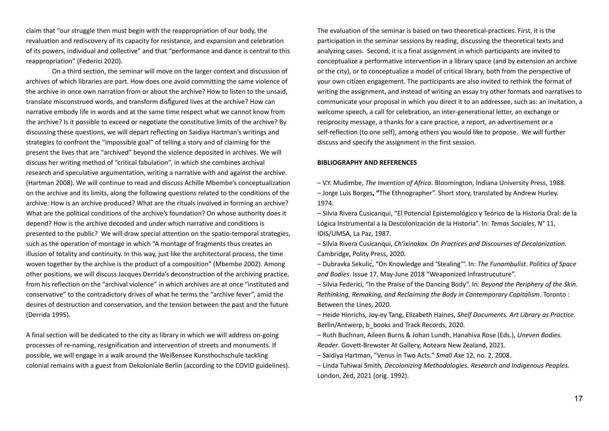claim that "our struggle then must begin with the reappropriation of our body, the revaluation and rediscovery of its capacity for resistance, and expansion and celebration of its powers, individual and collective" and that "performance and dance is central to this reappropriation" (Federici 2020).

On a third section, the seminar will move on the larger context and discussion of archives of which libraries are part. How does one avoid committing the same violence of the archive in once own narration from or about the archive? How to listen to the unsaid, translate misconstrued words, and transform disfigured lives at the archive? How can narrative embody life in words and at the same time respect what we cannot know from the archive? Is it possible to exceed or negotiate the constitutive limits of the archive? By discussing these questions, we will depart reflecting on Saidiya Hartman's writings and strategies to confront the "impossible goal" of telling a story and of claiming for the present the lives that are "archived" beyond the violence deposited in archives. We will discuss her writing method of "critical fabulation", in which she combines archival research and speculative argumentation, writing a narrative with and against the archive. (Hartman 2008). We will continue to read and discuss Achille Mbembe's conceptualization on the archive and its limits, along the following questions related to the conditions of the archive: How is an archive produced? What are the rituals involved in forming an archive? What are the political conditions of the archive's foundation? On whose authority does it depend? How is the archive decoded and under which narrative and conditions is presented to the public? We will draw special attention on the spatio-temporal strategies, such as the operation of montage in which "A montage of fragments thus creates an illusion of totality and continuity. In this way, just like the architectural process, the time woven together by the archive is the product of a composition" (Mbembe 2002). Among other positions, we will discuss Jacques Derrida's deconstruction of the archiving practice, from his reflection on the "archival violence" in which archives are at once "instituted and conservative" to the contradictory drives of what he terms the "archive fever", amid the desires of destruction and conservation, and the tension between the past and the future (Derrida 1995).

A final section will be dedicated to the city as library in which we will address on-going processes of re-naming, resignification and intervention of streets and monuments. If possible, we will engage in a walk around the Weißensee Kunsthochschule tackling colonial remains with a guest from Dekoloniale Berlin (according to the COVID guidelines). The evaluation of the seminar is based on two theoretical-practices. First, it is the participation in the seminar sessions by reading, discussing the theoretical texts and analyzing cases. Second, it is a final assignment in which participants are invited to conceptualize a performative intervention in a library space (and by extension an archive or the city), or to conceptualize a model of critical library, both from the perspective of your own citizen engagement. The participants are also invited to rethink the format of writing the assignment, and instead of writing an essay try other formats and narratives to communicate your proposal in which you direct it to an addressee, such as: an invitation, a welcome speech, a call for celebration, an inter-generational letter, an exchange or reciprocity message, a thanks for a care practice, a report, an advertisement or a self-reflection (to one self), among others you would like to propose. We will further discuss and specify the assignment in the first session.

#### **BIBLIOGRAPHY AND REFERENCES**

– V.Y. Mudimbe, *The Invention of Africa*. Bloomington, Indiana University Press, 1988.

– Jorge Luis Borges**, "**The Ethnographer". Short story, translated by Andrew Hurley. 1974.

– Silvia Rivera Cusicanqui, "El Potencial Epistemológico y Teórico de la Historia Oral: de la Lógica Instrumental a la Descolonización de la Historia". In: *Temas Sociales*, N° 11, IDIS/UMSA, La Paz, 1987.

– Silvia Rivera Cusicanqui, *Ch'ixinakax. On Practices and Discourses of Decolonization*. Cambridge, Polity Press, 2020.

– Dubravka Sekulić, "On Knowledge and 'Stealing'". In: *The Funambulist*. *Politics of Space and Bodies*. Issue 17, May-June 2018 "Weaponized Infrastrucuture".

– Silvia Federici, "In the Praise of the Dancing Body". In: *Beyond the Periphery of the Skin. Rethinking, Remaking, and Reclaiming the Body in Contemporary Capitalism*. Toronto : Between the Lines, 2020.

– Heide Hinrichs, Joy-ey Tang, Elizabeth Haines, *Shelf Documents. Art Library as Practice*. Berlin/Antwerp, b\_books and Track Records, 2020.

– Ruth Buchnan, Aileen Burns & Johan Lundh, Hanahiva Rose (Eds.), *Uneven Bodies. Reader*. Govett-Brewster At Gallery, Aoteara New Zealand, 2021.

– Saidiya Hartman, "Venus in Two Acts." *Small Axe* 12, no. 2, 2008.

– Linda Tuhiwai Smith*, Decolonizing Methodologies. Research and Indigenous Peoples.* London, Zed, 2021 (orig. 1992).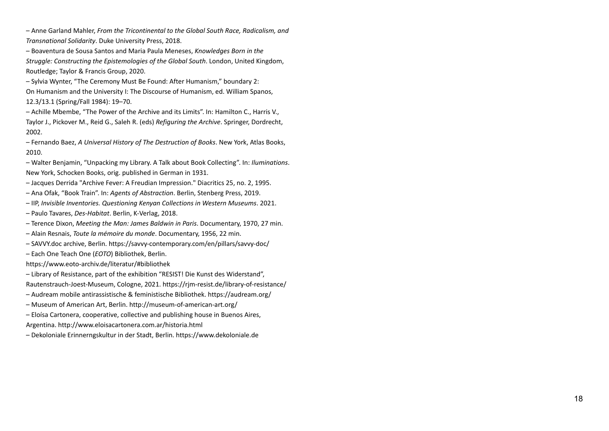- Anne Garland Mahler, From the Tricontinental to the Global South Race, Radicalism, and Transnational Solidarity. Duke University Press, 2018.

- Boaventura de Sousa Santos and Maria Paula Meneses, Knowledges Born in the Struggle: Constructing the Epistemologies of the Global South. London, United Kingdom,<br>Routledge; Taylor & Francis Group, 2020. outledge; Taylor & Francis Group, 2020.

– Sylvia Wynter, "The Ceremony Must Be Found: After Humanism," boundary 2: On Humanism and the University I: The Discourse of Humanism, ed. William Spanos, 1 2.3 / 1 3.1 ( S p rin g / F all 1 9 8 4 ): 1 9 – 7 0.

- Achille Mbembe, "The Power of the Archive and its Limits". In: Hamilton C., Harris V., Taylor J., Pickover M., Reid G., Saleh R. (eds) Refiguring the Archive. Springer, Dordrecht, 2 0 0 2.

- Fernando Baez, A Universal History of The Destruction of Books. New York, Atlas Books, 2 0 1 0.

- Walter Benjamin, "Unpacking my Library. A Talk about Book Collecting". In: *Iluminations*. New York, Schocken Books, orig. published in German in 1931.

- Jacques Derrida "Archive Fever: A Freudian Impression." Diacritics 25, no. 2, 1995.
- Ana Ofak, "Book Train". In: *Agents of Abstraction*. Berlin, Stenberg Press, 2019.
- IIP, *Invisible Inventories. Questioning Kenyan Collections in Western Museums*. 2021.
- Paulo Tavares, *Des-Habitat*. Berlin, K-Verlag, 2018.
- Terence Dixon, *Meeting the Man: James Baldwin in Paris*. Documentary, 1970, 27 min.
- Alain Resnais, *Toute la mémoire du monde*. Documentary, 1956, 22 min.
- SAVVY.doc archive, Berlin. https://savvy-contemporary.com/en/pillars/savvy-doc/
- Each One Teach One (*EOTO*) Bibliothek, Berlin.

<https://www.eoto-archiv.de/literatur/#bibliothek>

- Library of Resistance, part of the exhibition "RESIST! Die Kunst des Widerstand", Rautenstrauch-Joest-Museum, Cologne, 2021. <https://rjm-resist.de/library-of-resistance/>
- Audream mobile antirassistische & feministische Bibliothek. <https://audream.org/>
- Museum of American Art, Berlin. <http://museum-of-american-art.org/>
- Eloísa Cartonera, cooperative, collective and publishing house in Buenos Aires, Argentina. <http://www.eloisacartonera.com.ar/historia.html>
- Dekoloniale Erinnerngskultur in der Stadt, Berlin. <https://www.dekoloniale.de>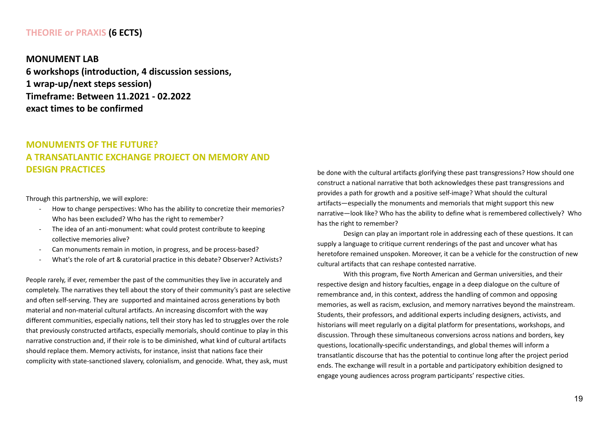## **THEORIE or PRAXIS (6 ECTS)**

**MONUMENT LAB 6 workshops (introduction, 4 discussion sessions, 1 wrap-up/next steps session) Timeframe: Between 11.2021 - 02.2022 exact times to be confirmed**

# **MONUMENTS OF THE FUTURE? A TRANSATLANTIC EXCHANGE PROJECT ON MEMORY AND DESIGN PRACTICES**

Through this partnership, we will explore:

- How to change perspectives: Who has the ability to concretize their memories? Who has been excluded? Who has the right to remember?
- The idea of an anti-monument: what could protest contribute to keeping collective memories alive?
- Can monuments remain in motion, in progress, and be process-based?
- What's the role of art & curatorial practice in this debate? Observer? Activists?

People rarely, if ever, remember the past of the communities they live in accurately and completely. The narratives they tell about the story of their community's past are selective and often self-serving. They are supported and maintained across generations by both material and non-material cultural artifacts. An increasing discomfort with the way different communities, especially nations, tell their story has led to struggles over the role that previously constructed artifacts, especially memorials, should continue to play in this narrative construction and, if their role is to be diminished, what kind of cultural artifacts should replace them. Memory activists, for instance, insist that nations face their complicity with state-sanctioned slavery, colonialism, and genocide. What, they ask, must

be done with the cultural artifacts glorifying these past transgressions? How should one construct a national narrative that both acknowledges these past transgressions and provides a path for growth and a positive self-image? What should the cultural artifacts—especially the monuments and memorials that might support this new narrative—look like? Who has the ability to define what is remembered collectively? Who has the right to remember?

Design can play an important role in addressing each of these questions. It can supply a language to critique current renderings of the past and uncover what has heretofore remained unspoken. Moreover, it can be a vehicle for the construction of new cultural artifacts that can reshape contested narrative.

With this program, five North American and German universities, and their respective design and history faculties, engage in a deep dialogue on the culture of remembrance and, in this context, address the handling of common and opposing memories, as well as racism, exclusion, and memory narratives beyond the mainstream. Students, their professors, and additional experts including designers, activists, and historians will meet regularly on a digital platform for presentations, workshops, and discussion. Through these simultaneous conversions across nations and borders, key questions, locationally-specific understandings, and global themes will inform a transatlantic discourse that has the potential to continue long after the project period ends. The exchange will result in a portable and participatory exhibition designed to engage young audiences across program participants' respective cities.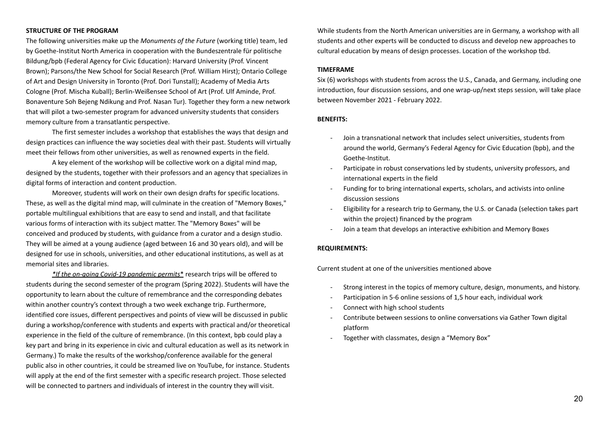#### **STRUCTURE OF THE PROGRAM**

The following universities make up the *Monuments of the Future* (working title) team, led by Goethe-Institut North America in cooperation with the Bundeszentrale für politische Bildung/bpb (Federal Agency for Civic Education): Harvard University (Prof. Vincent Brown); Parsons/the New School for Social Research (Prof. William Hirst); Ontario College of Art and Design University in Toronto (Prof. Dori Tunstall); Academy of Media Arts Cologne (Prof. Mischa Kuball); Berlin-Weißensee School of Art (Prof. Ulf Aminde, Prof. Bonaventure Soh Bejeng Ndikung and Prof. Nasan Tur). Together they form a new network that will pilot a two-semester program for advanced university students that considers memory culture from a transatlantic perspective.

The first semester includes a workshop that establishes the ways that design and design practices can influence the way societies deal with their past. Students will virtually meet their fellows from other universities, as well as renowned experts in the field.

A key element of the workshop will be collective work on a digital mind map, designed by the students, together with their professors and an agency that specializes in digital forms of interaction and content production.

Moreover, students will work on their own design drafts for specific locations. These, as well as the digital mind map, will culminate in the creation of "Memory Boxes," portable multilingual exhibitions that are easy to send and install, and that facilitate various forms of interaction with its subject matter. The "Memory Boxes" will be conceived and produced by students, with guidance from a curator and a design studio. They will be aimed at a young audience (aged between 16 and 30 years old), and will be designed for use in schools, universities, and other educational institutions, as well as at memorial sites and libraries.

*\*If the on-going Covid-19 pandemic permits*\* research trips will be offered to students during the second semester of the program (Spring 2022). Students will have the opportunity to learn about the culture of remembrance and the corresponding debates within another country's context through a two week exchange trip. Furthermore, identified core issues, different perspectives and points of view will be discussed in public during a workshop/conference with students and experts with practical and/or theoretical experience in the field of the culture of remembrance. (In this context, bpb could play a key part and bring in its experience in civic and cultural education as well as its network in Germany.) To make the results of the workshop/conference available for the general public also in other countries, it could be streamed live on YouTube, for instance. Students will apply at the end of the first semester with a specific research project. Those selected will be connected to partners and individuals of interest in the country they will visit.

While students from the North American universities are in Germany, a workshop with all students and other experts will be conducted to discuss and develop new approaches to cultural education by means of design processes. Location of the workshop tbd.

#### **TIMEFRAME**

Six (6) workshops with students from across the U.S., Canada, and Germany, including one introduction, four discussion sessions, and one wrap-up/next steps session, will take place between November 2021 - February 2022.

#### **BENEFITS:**

- Join a transnational network that includes select universities, students from around the world, Germany's Federal Agency for Civic Education (bpb), and the Goethe-Institut.
- Participate in robust conservations led by students, university professors, and international experts in the field
- Funding for to bring international experts, scholars, and activists into online discussion sessions
- Eligibility for a research trip to Germany, the U.S. or Canada (selection takes part within the project) financed by the program
- Join a team that develops an interactive exhibition and Memory Boxes

#### **REQUIREMENTS:**

Current student at one of the universities mentioned above

- Strong interest in the topics of memory culture, design, monuments, and history.
- Participation in 5-6 online sessions of 1,5 hour each, individual work
- Connect with high school students
- Contribute between sessions to online conversations via Gather Town digital platform
- Together with classmates, design a "Memory Box"